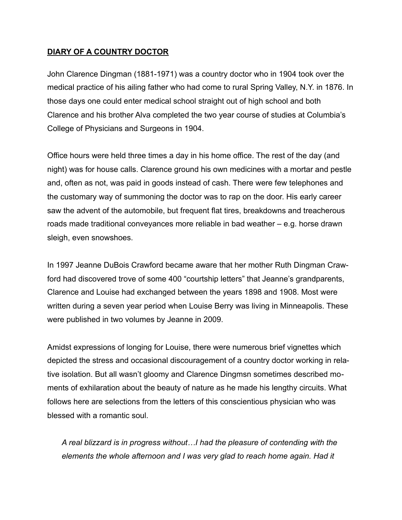## **DIARY OF A COUNTRY DOCTOR**

John Clarence Dingman (1881-1971) was a country doctor who in 1904 took over the medical practice of his ailing father who had come to rural Spring Valley, N.Y. in 1876. In those days one could enter medical school straight out of high school and both Clarence and his brother Alva completed the two year course of studies at Columbia's College of Physicians and Surgeons in 1904.

Office hours were held three times a day in his home office. The rest of the day (and night) was for house calls. Clarence ground his own medicines with a mortar and pestle and, often as not, was paid in goods instead of cash. There were few telephones and the customary way of summoning the doctor was to rap on the door. His early career saw the advent of the automobile, but frequent flat tires, breakdowns and treacherous roads made traditional conveyances more reliable in bad weather – e.g. horse drawn sleigh, even snowshoes.

In 1997 Jeanne DuBois Crawford became aware that her mother Ruth Dingman Crawford had discovered trove of some 400 "courtship letters" that Jeanne's grandparents, Clarence and Louise had exchanged between the years 1898 and 1908. Most were written during a seven year period when Louise Berry was living in Minneapolis. These were published in two volumes by Jeanne in 2009.

Amidst expressions of longing for Louise, there were numerous brief vignettes which depicted the stress and occasional discouragement of a country doctor working in relative isolation. But all wasn't gloomy and Clarence Dingmsn sometimes described moments of exhilaration about the beauty of nature as he made his lengthy circuits. What follows here are selections from the letters of this conscientious physician who was blessed with a romantic soul.

*A real blizzard is in progress without…I had the pleasure of contending with the elements the whole afternoon and I was very glad to reach home again. Had it*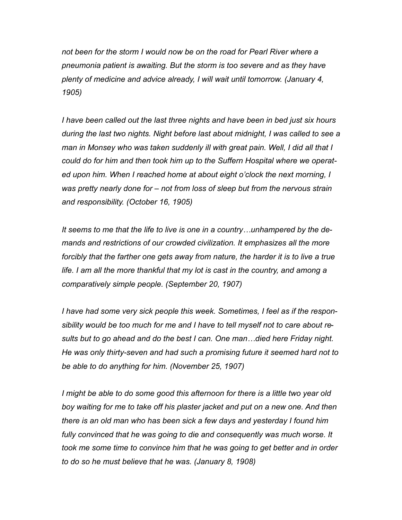*not been for the storm I would now be on the road for Pearl River where a pneumonia patient is awaiting. But the storm is too severe and as they have plenty of medicine and advice already, I will wait until tomorrow. (January 4, 1905)* 

*I have been called out the last three nights and have been in bed just six hours during the last two nights. Night before last about midnight, I was called to see a man in Monsey who was taken suddenly ill with great pain. Well, I did all that I could do for him and then took him up to the Suffern Hospital where we operated upon him. When I reached home at about eight o'clock the next morning, I was pretty nearly done for – not from loss of sleep but from the nervous strain and responsibility. (October 16, 1905)* 

*It seems to me that the life to live is one in a country…unhampered by the demands and restrictions of our crowded civilization. It emphasizes all the more forcibly that the farther one gets away from nature, the harder it is to live a true life. I am all the more thankful that my lot is cast in the country, and among a comparatively simple people. (September 20, 1907)* 

*I have had some very sick people this week. Sometimes, I feel as if the responsibility would be too much for me and I have to tell myself not to care about results but to go ahead and do the best I can. One man…died here Friday night. He was only thirty-seven and had such a promising future it seemed hard not to be able to do anything for him. (November 25, 1907)* 

*I might be able to do some good this afternoon for there is a little two year old* boy waiting for me to take off his plaster jacket and put on a new one. And then *there is an old man who has been sick a few days and yesterday I found him*  fully convinced that he was going to die and consequently was much worse. It *took me some time to convince him that he was going to get better and in order to do so he must believe that he was. (January 8, 1908)*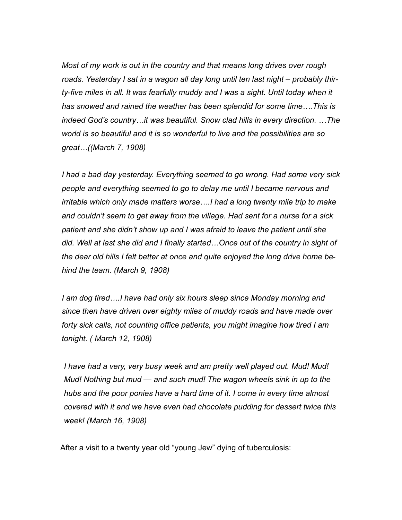*Most of my work is out in the country and that means long drives over rough roads. Yesterday I sat in a wagon all day long until ten last night – probably thirty-five miles in all. It was fearfully muddy and I was a sight. Until today when it has snowed and rained the weather has been splendid for some time….This is indeed God's country…it was beautiful. Snow clad hills in every direction. …The world is so beautiful and it is so wonderful to live and the possibilities are so great…((March 7, 1908)* 

*I had a bad day yesterday. Everything seemed to go wrong. Had some very sick people and everything seemed to go to delay me until I became nervous and irritable which only made matters worse….I had a long twenty mile trip to make and couldn't seem to get away from the village. Had sent for a nurse for a sick patient and she didn't show up and I was afraid to leave the patient until she did. Well at last she did and I finally started…Once out of the country in sight of the dear old hills I felt better at once and quite enjoyed the long drive home behind the team. (March 9, 1908)* 

*I am dog tired….I have had only six hours sleep since Monday morning and since then have driven over eighty miles of muddy roads and have made over forty sick calls, not counting office patients, you might imagine how tired I am tonight. ( March 12, 1908)* 

 *I have had a very, very busy week and am pretty well played out. Mud! Mud! Mud! Nothing but mud — and such mud! The wagon wheels sink in up to the hubs and the poor ponies have a hard time of it. I come in every time almost covered with it and we have even had chocolate pudding for dessert twice this week! (March 16, 1908)* 

After a visit to a twenty year old "young Jew" dying of tuberculosis: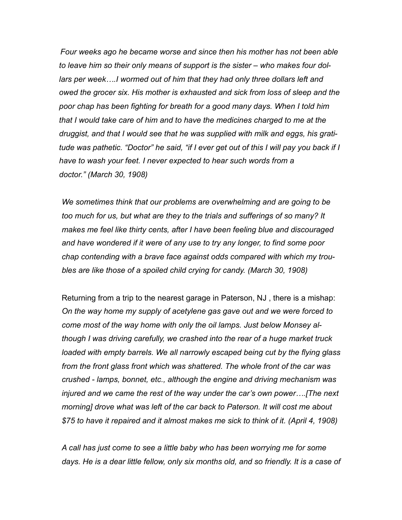*Four weeks ago he became worse and since then his mother has not been able to leave him so their only means of support is the sister – who makes four dollars per week….I wormed out of him that they had only three dollars left and owed the grocer six. His mother is exhausted and sick from loss of sleep and the poor chap has been fighting for breath for a good many days. When I told him that I would take care of him and to have the medicines charged to me at the druggist, and that I would see that he was supplied with milk and eggs, his gratitude was pathetic. "Doctor" he said, "if I ever get out of this I will pay you back if I have to wash your feet. I never expected to hear such words from a doctor." (March 30, 1908)* 

*We sometimes think that our problems are overwhelming and are going to be too much for us, but what are they to the trials and sufferings of so many? It makes me feel like thirty cents, after I have been feeling blue and discouraged and have wondered if it were of any use to try any longer, to find some poor chap contending with a brave face against odds compared with which my troubles are like those of a spoiled child crying for candy. (March 30, 1908)* 

Returning from a trip to the nearest garage in Paterson, NJ , there is a mishap: *On the way home my supply of acetylene gas gave out and we were forced to come most of the way home with only the oil lamps. Just below Monsey although I was driving carefully, we crashed into the rear of a huge market truck loaded with empty barrels. We all narrowly escaped being cut by the flying glass from the front glass front which was shattered. The whole front of the car was crushed - lamps, bonnet, etc., although the engine and driving mechanism was injured and we came the rest of the way under the car's own power….[The next morning] drove what was left of the car back to Paterson. It will cost me about \$75 to have it repaired and it almost makes me sick to think of it. (April 4, 1908)* 

*A call has just come to see a little baby who has been worrying me for some days. He is a dear little fellow, only six months old, and so friendly. It is a case of*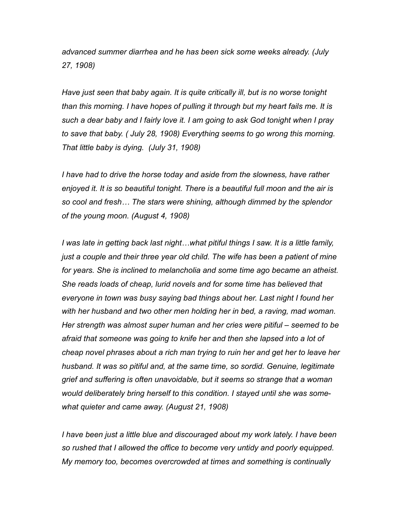*advanced summer diarrhea and he has been sick some weeks already. (July 27, 1908)* 

*Have just seen that baby again. It is quite critically ill, but is no worse tonight than this morning. I have hopes of pulling it through but my heart fails me. It is such a dear baby and I fairly love it. I am going to ask God tonight when I pray to save that baby. ( July 28, 1908) Everything seems to go wrong this morning. That little baby is dying. (July 31, 1908)* 

*I have had to drive the horse today and aside from the slowness, have rather enjoyed it. It is so beautiful tonight. There is a beautiful full moon and the air is so cool and fresh… The stars were shining, although dimmed by the splendor of the young moon. (August 4, 1908)* 

*I was late in getting back last night…what pitiful things I saw. It is a little family, just a couple and their three year old child. The wife has been a patient of mine for years. She is inclined to melancholia and some time ago became an atheist. She reads loads of cheap, lurid novels and for some time has believed that everyone in town was busy saying bad things about her. Last night I found her with her husband and two other men holding her in bed, a raving, mad woman. Her strength was almost super human and her cries were pitiful – seemed to be afraid that someone was going to knife her and then she lapsed into a lot of cheap novel phrases about a rich man trying to ruin her and get her to leave her husband. It was so pitiful and, at the same time, so sordid. Genuine, legitimate grief and suffering is often unavoidable, but it seems so strange that a woman would deliberately bring herself to this condition. I stayed until she was somewhat quieter and came away. (August 21, 1908)* 

I have been just a little blue and discouraged about my work lately. I have been *so rushed that I allowed the office to become very untidy and poorly equipped. My memory too, becomes overcrowded at times and something is continually*